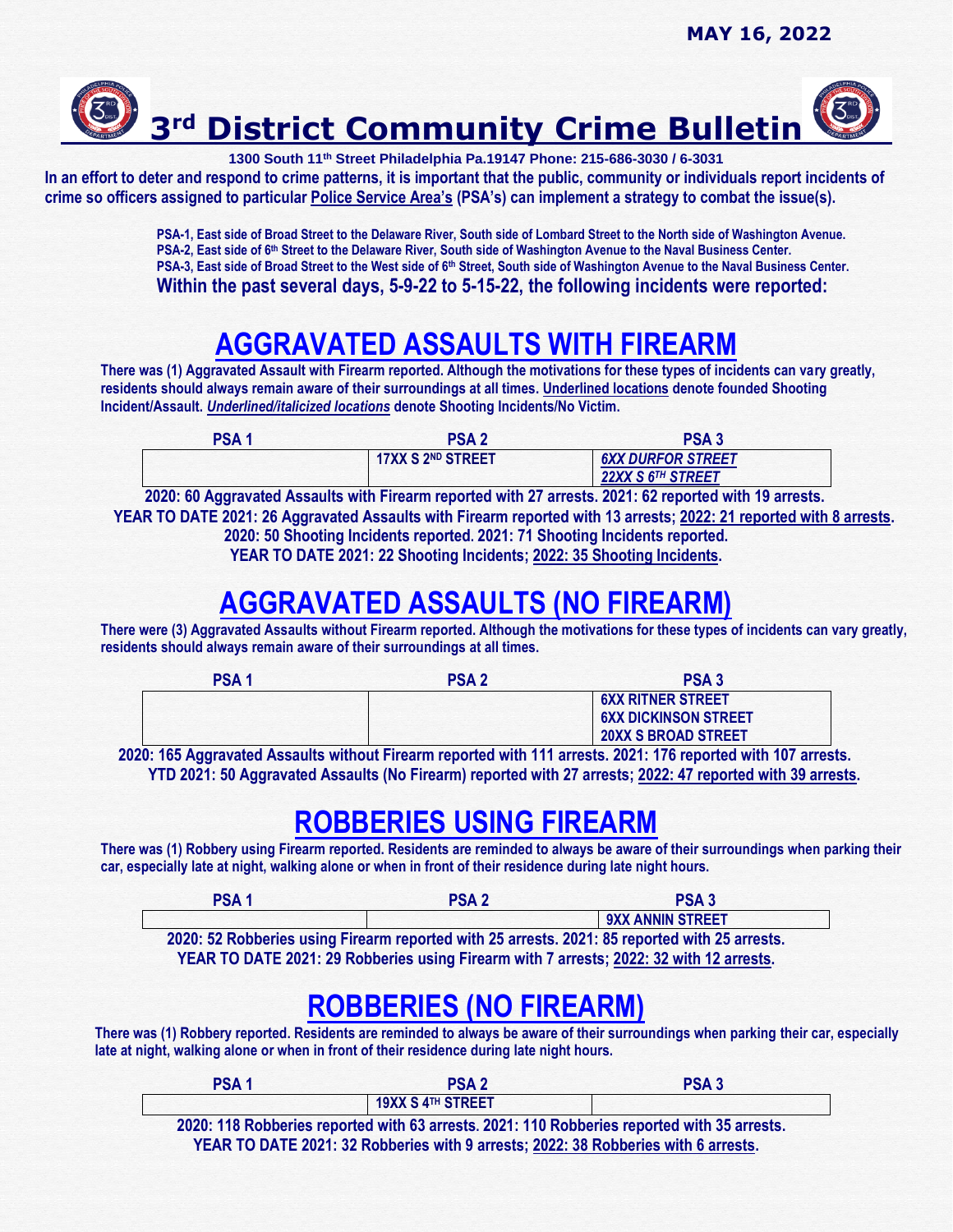

**1300 South 11th Street Philadelphia Pa.19147 Phone: 215-686-3030 / 6-3031**

**In an effort to deter and respond to crime patterns, it is important that the public, community or individuals report incidents of crime so officers assigned to particular Police Service Area's (PSA's) can implement a strategy to combat the issue(s).** 

> **PSA-1, East side of Broad Street to the Delaware River, South side of Lombard Street to the North side of Washington Avenue.** PSA-2, East side of 6<sup>th</sup> Street to the Delaware River, South side of Washington Avenue to the Naval Business Center. **PSA-3, East side of Broad Street to the West side of 6th Street, South side of Washington Avenue to the Naval Business Center. Within the past several days, 5-9-22 to 5-15-22, the following incidents were reported:**

## **AGGRAVATED ASSAULTS WITH FIREARM**

**There was (1) Aggravated Assault with Firearm reported. Although the motivations for these types of incidents can vary greatly, residents should always remain aware of their surroundings at all times. Underlined locations denote founded Shooting Incident/Assault.** *Underlined/italicized locations* **denote Shooting Incidents/No Victim.** 

| PSA <sub>1</sub> | PSA 2                    | <b>PSA3</b>                   |
|------------------|--------------------------|-------------------------------|
|                  | <b>17XX S 2ND STREET</b> | <b>6XX DURFOR STREET</b>      |
|                  |                          | 22XX S 6 <sup>TH</sup> STREET |

 **2020: 60 Aggravated Assaults with Firearm reported with 27 arrests. 2021: 62 reported with 19 arrests. YEAR TO DATE 2021: 26 Aggravated Assaults with Firearm reported with 13 arrests; 2022: 21 reported with 8 arrests. 2020: 50 Shooting Incidents reported. 2021: 71 Shooting Incidents reported. YEAR TO DATE 2021: 22 Shooting Incidents; 2022: 35 Shooting Incidents.**

## **AGGRAVATED ASSAULTS (NO FIREARM)**

**There were (3) Aggravated Assaults without Firearm reported. Although the motivations for these types of incidents can vary greatly, residents should always remain aware of their surroundings at all times.** 

| <b>PSA1</b> | <b>PSA2</b> | <b>PSA3</b>                 |
|-------------|-------------|-----------------------------|
|             |             | <b>6XX RITNER STREET</b>    |
|             |             | <b>6XX DICKINSON STREET</b> |
|             |             | <b>20XX S BROAD STREET</b>  |

 **2020: 165 Aggravated Assaults without Firearm reported with 111 arrests. 2021: 176 reported with 107 arrests. YTD 2021: 50 Aggravated Assaults (No Firearm) reported with 27 arrests; 2022: 47 reported with 39 arrests.**

### **ROBBERIES USING FIREARM**

**There was (1) Robbery using Firearm reported. Residents are reminded to always be aware of their surroundings when parking their car, especially late at night, walking alone or when in front of their residence during late night hours.**

| PSA <sup>1</sup> | <b>PSA2</b> | <b>PSA3</b>                                                                                 |
|------------------|-------------|---------------------------------------------------------------------------------------------|
|                  |             | <b>9XX ANNIN STREET</b>                                                                     |
|                  |             | 2020: 52 Pobberies using Firesrm reported with 25 arrests 2021: 85 reported with 25 arrests |

**2020: 52 Robberies using Firearm reported with 25 arrests. 2021: 85 reported with 25 arrests. YEAR TO DATE 2021: 29 Robberies using Firearm with 7 arrests; 2022: 32 with 12 arrests.**

### **ROBBERIES (NO FIREARM)**

**There was (1) Robbery reported. Residents are reminded to always be aware of their surroundings when parking their car, especially late at night, walking alone or when in front of their residence during late night hours.**

| PSA <sub>1</sub> | <b>PSA2</b>                                                                                 | <b>PSA3</b> |
|------------------|---------------------------------------------------------------------------------------------|-------------|
|                  | <b>19XX S 4TH STREET</b>                                                                    |             |
|                  | 2020: 118 Robberies reported with 63 arrests. 2021: 110 Robberies reported with 35 arrests. |             |
|                  | YEAR TO DATE 2021: 32 Robberies with 9 arrests; 2022: 38 Robberies with 6 arrests.          |             |